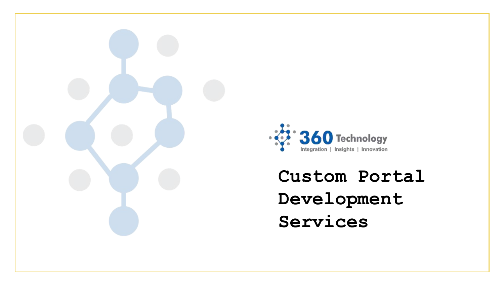



**Custom Portal Development Services**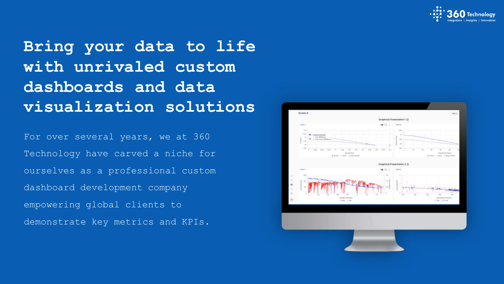

**Bring your data to life with unrivaled custom dashboards and data visualization solutions**

For over several years, we at 360 Technology have carved a niche for ourselves as a professional custom dashboard development company empowering global clients to demonstrate key metrics and KPIs.

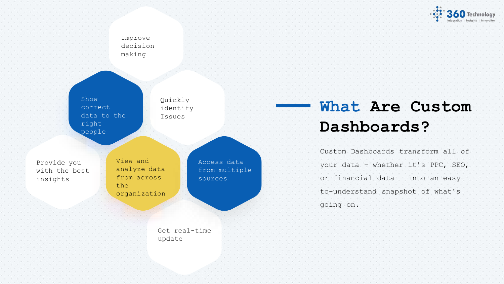**360** Technology

#### Improve decision making

Show correct data to the right people

Quickly identify Issues

with the best Provide you insights

View and analyze data from across the organization

> Get real-time update

Access data from multiple sources

### **What Are Custom Dashboards?**

Custom Dashboards transform all of your data – whether it's PPC, SEO, or financial data – into an easyto-understand snapshot of what's

going on.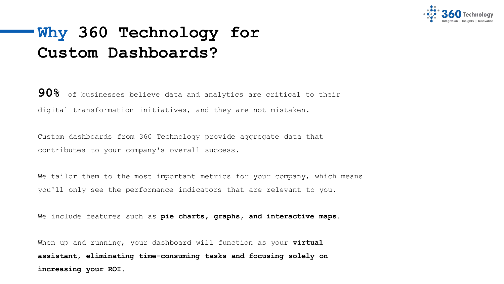

### **Why 360 Technology for Custom Dashboards?**

**90%** of businesses believe data and analytics are critical to their digital transformation initiatives, and they are not mistaken.

Custom dashboards from 360 Technology provide aggregate data that contributes to your company's overall success.

We tailor them to the most important metrics for your company, which means you'll only see the performance indicators that are relevant to you.

We include features such as **pie charts, graphs, and interactive maps.**

When up and running, your dashboard will function as your **virtual assistant, eliminating time-consuming tasks and focusing solely on increasing your ROI.**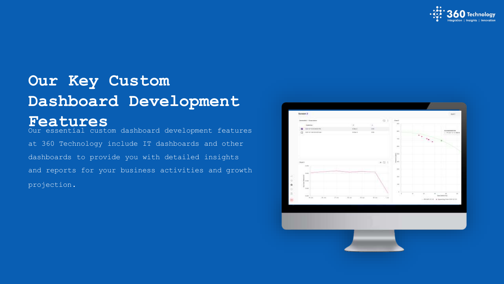

### **Our Key Custom Dashboard Development Features**

Our essential custom dashboard development features at 360 Technology include IT dashboards and other dashboards to provide you with detailed insights and reports for your business activities and growth projection.

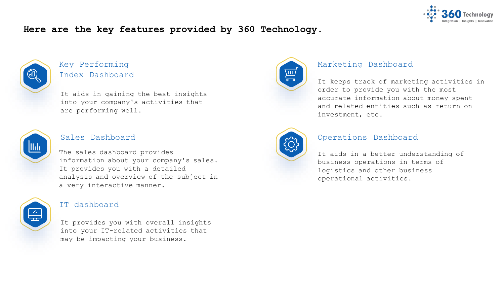

#### **Here are the key features provided by 360 Technology.**



#### Key Performing Index Dashboard

It aids in gaining the best insights into your company's activities that are performing well.



#### Sales Dashboard

The sales dashboard provides information about your company's sales. It provides you with a detailed analysis and overview of the subject in a very interactive manner.



#### IT dashboard

It provides you with overall insights into your IT-related activities that may be impacting your business.



#### Marketing Dashboard

It keeps track of marketing activities in order to provide you with the most accurate information about money spent and related entities such as return on investment, etc.



#### Operations Dashboard

It aids in a better understanding of business operations in terms of logistics and other business operational activities.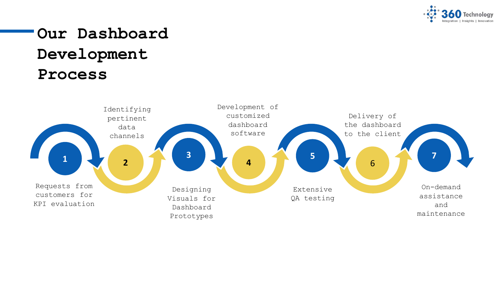

## **Our Dashboard Development Process**

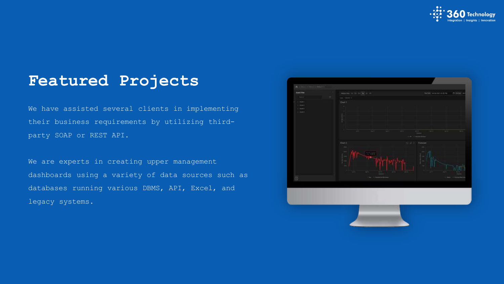

### **Featured Projects**

We have assisted several clients in implementing their business requirements by utilizing thirdparty SOAP or REST API.

We are experts in creating upper management dashboards using a variety of data sources such as databases running various DBMS, API, Excel, and legacy systems.

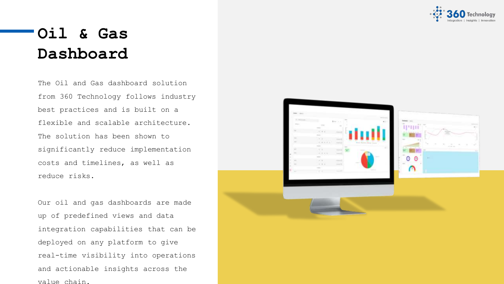

### **Oil & Gas Dashboard**

The Oil and Gas dashboard solution from 360 Technology follows industry best practices and is built on a flexible and scalable architecture. The solution has been shown to significantly reduce implementation costs and timelines, as well as reduce risks.

Our oil and gas dashboards are made up of predefined views and data integration capabilities that can be deployed on any platform to give real-time visibility into operations and actionable insights across the value chain.

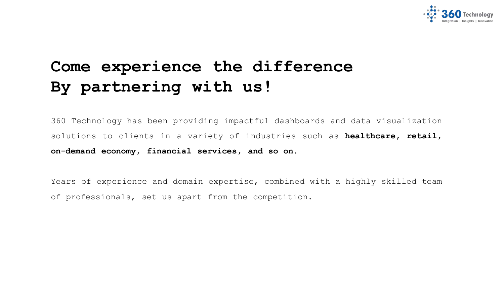

### **Come experience the difference By partnering with us!**

360 Technology has been providing impactful dashboards and data visualization solutions to clients in a variety of industries such as **healthcare, retail, on-demand economy, financial services, and so on.**

Years of experience and domain expertise, combined with a highly skilled team of professionals, set us apart from the competition.